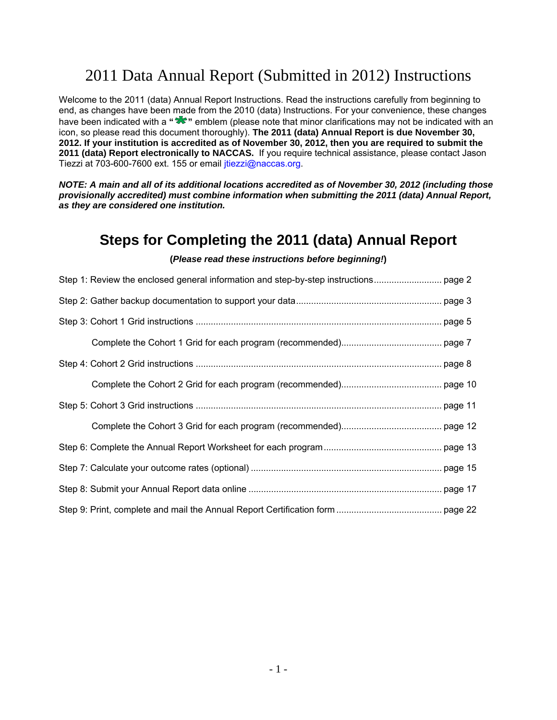# 2011 Data Annual Report (Submitted in 2012) Instructions

Welcome to the 2011 (data) Annual Report Instructions. Read the instructions carefully from beginning to end, as changes have been made from the 2010 (data) Instructions. For your convenience, these changes have been indicated with a "**\*\***" emblem (please note that minor clarifications may not be indicated with an icon, so please read this document thoroughly). **The 2011 (data) Annual Report is due November 30, 2012. If your institution is accredited as of November 30, 2012, then you are required to submit the 2011 (data) Report electronically to NACCAS.** If you require technical assistance, please contact Jason Tiezzi at 703-600-7600 ext. 155 or email *itiezzi@naccas.org*.

*NOTE: A main and all of its additional locations accredited as of November 30, 2012 (including those provisionally accredited) must combine information when submitting the 2011 (data) Annual Report, as they are considered one institution.* 

## **Steps for Completing the 2011 (data) Annual Report**

### **(***Please read these instructions before beginning!***)**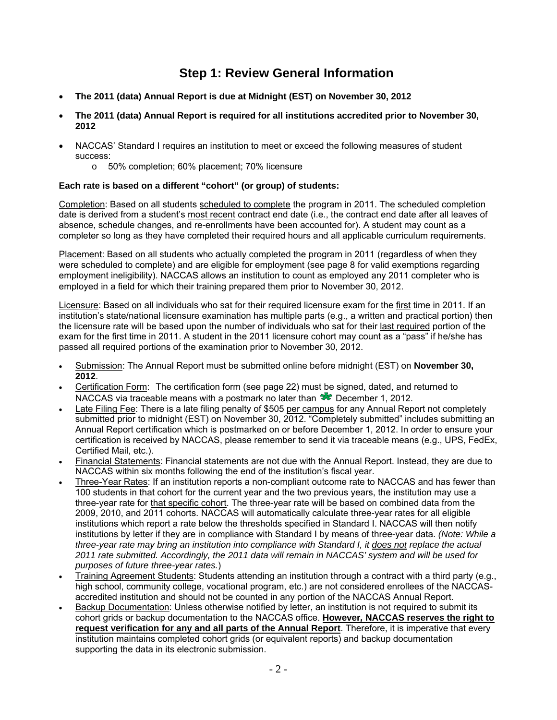## **Step 1: Review General Information**

- **The 2011 (data) Annual Report is due at Midnight (EST) on November 30, 2012**
- **The 2011 (data) Annual Report is required for all institutions accredited prior to November 30, 2012**
- NACCAS' Standard I requires an institution to meet or exceed the following measures of student success:
	- o 50% completion; 60% placement; 70% licensure

### **Each rate is based on a different "cohort" (or group) of students:**

Completion: Based on all students scheduled to complete the program in 2011. The scheduled completion date is derived from a student's most recent contract end date (i.e., the contract end date after all leaves of absence, schedule changes, and re-enrollments have been accounted for). A student may count as a completer so long as they have completed their required hours and all applicable curriculum requirements.

Placement: Based on all students who actually completed the program in 2011 (regardless of when they were scheduled to complete) and are eligible for employment (see page 8 for valid exemptions regarding employment ineligibility). NACCAS allows an institution to count as employed any 2011 completer who is employed in a field for which their training prepared them prior to November 30, 2012.

Licensure: Based on all individuals who sat for their required licensure exam for the first time in 2011. If an institution's state/national licensure examination has multiple parts (e.g., a written and practical portion) then the licensure rate will be based upon the number of individuals who sat for their last required portion of the exam for the first time in 2011. A student in the 2011 licensure cohort may count as a "pass" if he/she has passed all required portions of the examination prior to November 30, 2012.

- Submission: The Annual Report must be submitted online before midnight (EST) on **November 30, 2012**.
- Certification Form: The certification form (see page 22) must be signed, dated, and returned to NACCAS via traceable means with a postmark no later than  $\mathcal{R}$  December 1, 2012.
- Late Filing Fee: There is a late filing penalty of \$505 per campus for any Annual Report not completely submitted prior to midnight (EST) on November 30, 2012. "Completely submitted" includes submitting an Annual Report certification which is postmarked on or before December 1, 2012. In order to ensure your certification is received by NACCAS, please remember to send it via traceable means (e.g., UPS, FedEx, Certified Mail, etc.).
- Financial Statements: Financial statements are not due with the Annual Report. Instead, they are due to NACCAS within six months following the end of the institution's fiscal year.
- Three-Year Rates: If an institution reports a non-compliant outcome rate to NACCAS and has fewer than 100 students in that cohort for the current year and the two previous years, the institution may use a three-year rate for that specific cohort. The three-year rate will be based on combined data from the 2009, 2010, and 2011 cohorts. NACCAS will automatically calculate three-year rates for all eligible institutions which report a rate below the thresholds specified in Standard I. NACCAS will then notify institutions by letter if they are in compliance with Standard I by means of three-year data. *(Note: While a three-year rate may bring an institution into compliance with Standard I, it does not replace the actual 2011 rate submitted. Accordingly, the 2011 data will remain in NACCAS' system and will be used for purposes of future three-year rates.*)
- Training Agreement Students: Students attending an institution through a contract with a third party (e.g., high school, community college, vocational program, etc.) are not considered enrollees of the NACCASaccredited institution and should not be counted in any portion of the NACCAS Annual Report.
- Backup Documentation: Unless otherwise notified by letter, an institution is not required to submit its cohort grids or backup documentation to the NACCAS office. **However***,* **NACCAS reserves the right to request verification for any and all parts of the Annual Report**. Therefore, it is imperative that every institution maintains completed cohort grids (or equivalent reports) and backup documentation supporting the data in its electronic submission.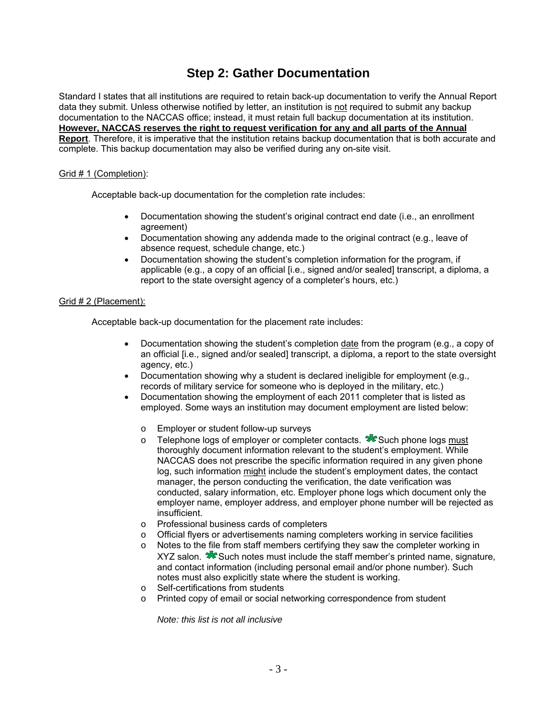## **Step 2: Gather Documentation**

Standard I states that all institutions are required to retain back-up documentation to verify the Annual Report data they submit. Unless otherwise notified by letter, an institution is not required to submit any backup documentation to the NACCAS office; instead, it must retain full backup documentation at its institution. **However, NACCAS reserves the right to request verification for any and all parts of the Annual Report**. Therefore, it is imperative that the institution retains backup documentation that is both accurate and complete. This backup documentation may also be verified during any on-site visit.

### Grid # 1 (Completion):

Acceptable back-up documentation for the completion rate includes:

- Documentation showing the student's original contract end date (i.e., an enrollment agreement)
- Documentation showing any addenda made to the original contract (e.g., leave of absence request, schedule change, etc.)
- Documentation showing the student's completion information for the program, if applicable (e.g., a copy of an official [i.e., signed and/or sealed] transcript, a diploma, a report to the state oversight agency of a completer's hours, etc.)

### Grid # 2 (Placement):

Acceptable back-up documentation for the placement rate includes:

- Documentation showing the student's completion date from the program (e.g., a copy of an official [i.e., signed and/or sealed] transcript, a diploma, a report to the state oversight agency, etc.)
- Documentation showing why a student is declared ineligible for employment (e.g., records of military service for someone who is deployed in the military, etc.)
- Documentation showing the employment of each 2011 completer that is listed as employed. Some ways an institution may document employment are listed below:
	- o Employer or student follow-up surveys
	- $\circ$  Telephone logs of employer or completer contacts.  $\sqrt{ }$  Such phone logs must thoroughly document information relevant to the student's employment. While NACCAS does not prescribe the specific information required in any given phone log, such information might include the student's employment dates, the contact manager, the person conducting the verification, the date verification was conducted, salary information, etc. Employer phone logs which document only the employer name, employer address, and employer phone number will be rejected as insufficient.
	- o Professional business cards of completers
	- o Official flyers or advertisements naming completers working in service facilities
	- o Notes to the file from staff members certifying they saw the completer working in  $XYZ$  salon.  $\sqrt{8}$  Such notes must include the staff member's printed name, signature, and contact information (including personal email and/or phone number). Such notes must also explicitly state where the student is working.
	- o Self-certifications from students
	- o Printed copy of email or social networking correspondence from student

*Note: this list is not all inclusive*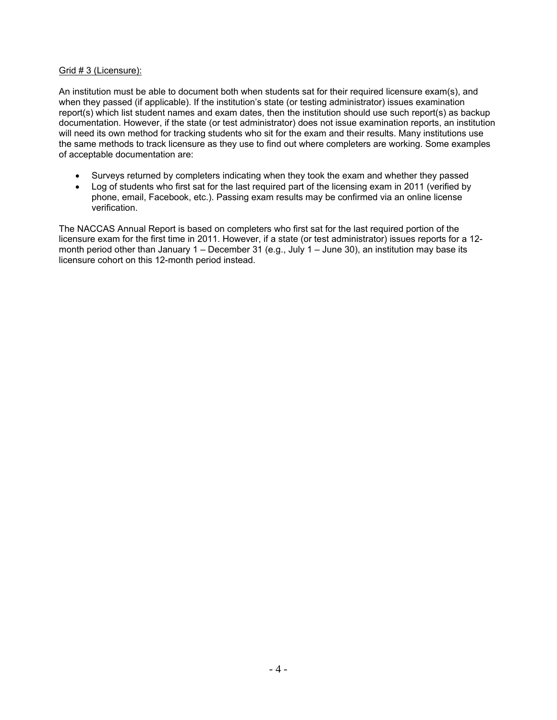### Grid # 3 (Licensure):

An institution must be able to document both when students sat for their required licensure exam(s), and when they passed (if applicable). If the institution's state (or testing administrator) issues examination report(s) which list student names and exam dates, then the institution should use such report(s) as backup documentation. However, if the state (or test administrator) does not issue examination reports, an institution will need its own method for tracking students who sit for the exam and their results. Many institutions use the same methods to track licensure as they use to find out where completers are working. Some examples of acceptable documentation are:

- Surveys returned by completers indicating when they took the exam and whether they passed
- Log of students who first sat for the last required part of the licensing exam in 2011 (verified by phone, email, Facebook, etc.). Passing exam results may be confirmed via an online license verification.

The NACCAS Annual Report is based on completers who first sat for the last required portion of the licensure exam for the first time in 2011. However, if a state (or test administrator) issues reports for a 12 month period other than January  $1 -$  December 31 (e.g., July  $1 -$  June 30), an institution may base its licensure cohort on this 12-month period instead.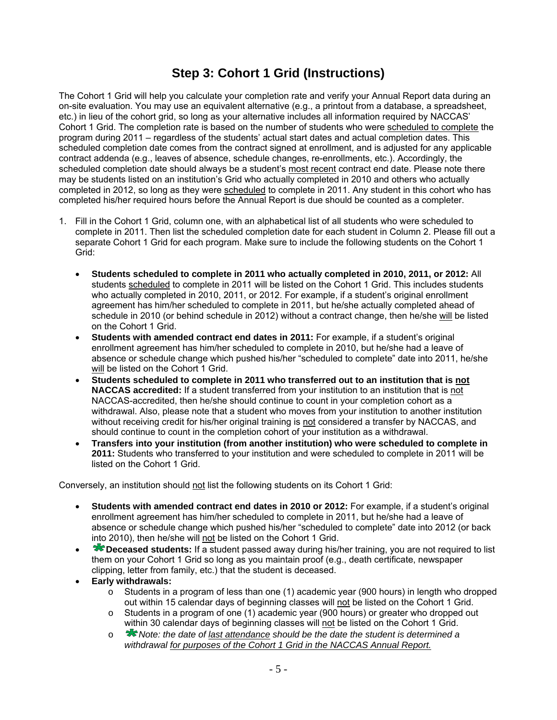## **Step 3: Cohort 1 Grid (Instructions)**

The Cohort 1 Grid will help you calculate your completion rate and verify your Annual Report data during an on-site evaluation. You may use an equivalent alternative (e.g., a printout from a database, a spreadsheet, etc.) in lieu of the cohort grid, so long as your alternative includes all information required by NACCAS' Cohort 1 Grid. The completion rate is based on the number of students who were scheduled to complete the program during 2011 – regardless of the students' actual start dates and actual completion dates. This scheduled completion date comes from the contract signed at enrollment, and is adjusted for any applicable contract addenda (e.g., leaves of absence, schedule changes, re-enrollments, etc.). Accordingly, the scheduled completion date should always be a student's most recent contract end date. Please note there may be students listed on an institution's Grid who actually completed in 2010 and others who actually completed in 2012, so long as they were scheduled to complete in 2011. Any student in this cohort who has completed his/her required hours before the Annual Report is due should be counted as a completer.

- 1. Fill in the Cohort 1 Grid, column one, with an alphabetical list of all students who were scheduled to complete in 2011. Then list the scheduled completion date for each student in Column 2. Please fill out a separate Cohort 1 Grid for each program. Make sure to include the following students on the Cohort 1 Grid:
	- **Students scheduled to complete in 2011 who actually completed in 2010, 2011, or 2012:** All students scheduled to complete in 2011 will be listed on the Cohort 1 Grid. This includes students who actually completed in 2010, 2011, or 2012. For example, if a student's original enrollment agreement has him/her scheduled to complete in 2011, but he/she actually completed ahead of schedule in 2010 (or behind schedule in 2012) without a contract change, then he/she will be listed on the Cohort 1 Grid.
	- **Students with amended contract end dates in 2011:** For example, if a student's original enrollment agreement has him/her scheduled to complete in 2010, but he/she had a leave of absence or schedule change which pushed his/her "scheduled to complete" date into 2011, he/she will be listed on the Cohort 1 Grid.
	- **Students scheduled to complete in 2011 who transferred out to an institution that is not NACCAS accredited:** If a student transferred from your institution to an institution that is not NACCAS-accredited, then he/she should continue to count in your completion cohort as a withdrawal. Also, please note that a student who moves from your institution to another institution without receiving credit for his/her original training is not considered a transfer by NACCAS, and should continue to count in the completion cohort of your institution as a withdrawal.
	- **Transfers into your institution (from another institution) who were scheduled to complete in 2011:** Students who transferred to your institution and were scheduled to complete in 2011 will be listed on the Cohort 1 Grid.

Conversely, an institution should not list the following students on its Cohort 1 Grid:

- **Students with amended contract end dates in 2010 or 2012:** For example, if a student's original enrollment agreement has him/her scheduled to complete in 2011, but he/she had a leave of absence or schedule change which pushed his/her "scheduled to complete" date into 2012 (or back into 2010), then he/she will not be listed on the Cohort 1 Grid.
- **Example 2** Deceased students: If a student passed away during his/her training, you are not required to list them on your Cohort 1 Grid so long as you maintain proof (e.g., death certificate, newspaper clipping, letter from family, etc.) that the student is deceased.
- **Early withdrawals:** 
	- o Students in a program of less than one (1) academic year (900 hours) in length who dropped out within 15 calendar days of beginning classes will not be listed on the Cohort 1 Grid.
	- o Students in a program of one (1) academic year (900 hours) or greater who dropped out within 30 calendar days of beginning classes will not be listed on the Cohort 1 Grid.
	- o *Note: the date of last attendance should be the date the student is determined a withdrawal for purposes of the Cohort 1 Grid in the NACCAS Annual Report.*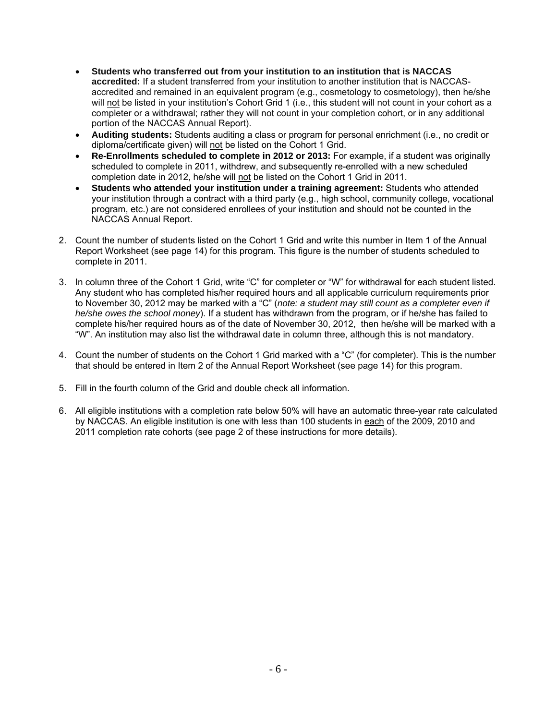- **Students who transferred out from your institution to an institution that is NACCAS accredited:** If a student transferred from your institution to another institution that is NACCASaccredited and remained in an equivalent program (e.g., cosmetology to cosmetology), then he/she will not be listed in your institution's Cohort Grid 1 (i.e., this student will not count in your cohort as a completer or a withdrawal; rather they will not count in your completion cohort, or in any additional portion of the NACCAS Annual Report).
- **Auditing students:** Students auditing a class or program for personal enrichment (i.e., no credit or diploma/certificate given) will not be listed on the Cohort 1 Grid.
- **Re-Enrollments scheduled to complete in 2012 or 2013:** For example, if a student was originally scheduled to complete in 2011, withdrew, and subsequently re-enrolled with a new scheduled completion date in 2012, he/she will not be listed on the Cohort 1 Grid in 2011.
- **Students who attended your institution under a training agreement:** Students who attended your institution through a contract with a third party (e.g., high school, community college, vocational program, etc.) are not considered enrollees of your institution and should not be counted in the NACCAS Annual Report.
- 2. Count the number of students listed on the Cohort 1 Grid and write this number in Item 1 of the Annual Report Worksheet (see page 14) for this program. This figure is the number of students scheduled to complete in 2011.
- 3. In column three of the Cohort 1 Grid, write "C" for completer or "W" for withdrawal for each student listed. Any student who has completed his/her required hours and all applicable curriculum requirements prior to November 30, 2012 may be marked with a "C" (*note: a student may still count as a completer even if he/she owes the school money*). If a student has withdrawn from the program, or if he/she has failed to complete his/her required hours as of the date of November 30, 2012, then he/she will be marked with a "W". An institution may also list the withdrawal date in column three, although this is not mandatory.
- 4. Count the number of students on the Cohort 1 Grid marked with a "C" (for completer). This is the number that should be entered in Item 2 of the Annual Report Worksheet (see page 14) for this program.
- 5. Fill in the fourth column of the Grid and double check all information.
- 6. All eligible institutions with a completion rate below 50% will have an automatic three-year rate calculated by NACCAS. An eligible institution is one with less than 100 students in each of the 2009, 2010 and 2011 completion rate cohorts (see page 2 of these instructions for more details).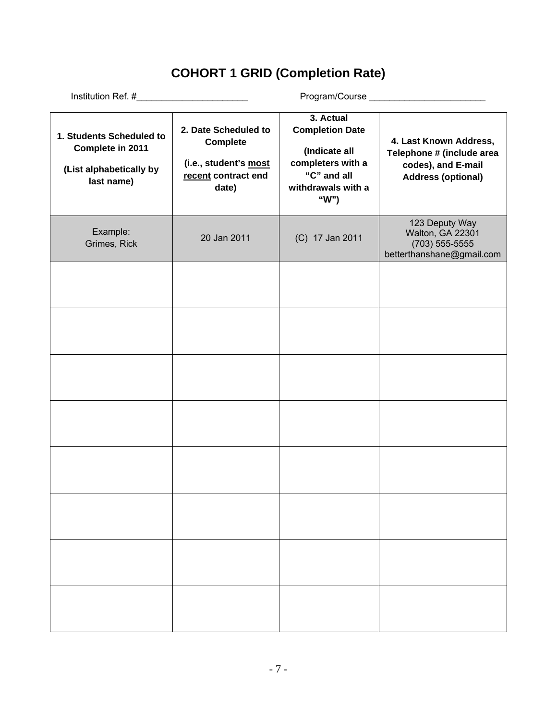# **COHORT 1 GRID (Completion Rate)**

| 1. Students Scheduled to<br>Complete in 2011<br>(List alphabetically by<br>last name) | 2. Date Scheduled to<br><b>Complete</b><br>(i.e., student's most<br>recent contract end<br>date) | 3. Actual<br><b>Completion Date</b><br>(Indicate all<br>completers with a<br>"C" and all<br>withdrawals with a<br>"W") | 4. Last Known Address,<br>Telephone # (include area<br>codes), and E-mail<br><b>Address (optional)</b> |  |
|---------------------------------------------------------------------------------------|--------------------------------------------------------------------------------------------------|------------------------------------------------------------------------------------------------------------------------|--------------------------------------------------------------------------------------------------------|--|
| Example:<br>Grimes, Rick                                                              | 20 Jan 2011                                                                                      | (C) 17 Jan 2011                                                                                                        | 123 Deputy Way<br>Walton, GA 22301<br>(703) 555-5555<br>betterthanshane@gmail.com                      |  |
|                                                                                       |                                                                                                  |                                                                                                                        |                                                                                                        |  |
|                                                                                       |                                                                                                  |                                                                                                                        |                                                                                                        |  |
|                                                                                       |                                                                                                  |                                                                                                                        |                                                                                                        |  |
|                                                                                       |                                                                                                  |                                                                                                                        |                                                                                                        |  |
|                                                                                       |                                                                                                  |                                                                                                                        |                                                                                                        |  |
|                                                                                       |                                                                                                  |                                                                                                                        |                                                                                                        |  |
|                                                                                       |                                                                                                  |                                                                                                                        |                                                                                                        |  |
|                                                                                       |                                                                                                  |                                                                                                                        |                                                                                                        |  |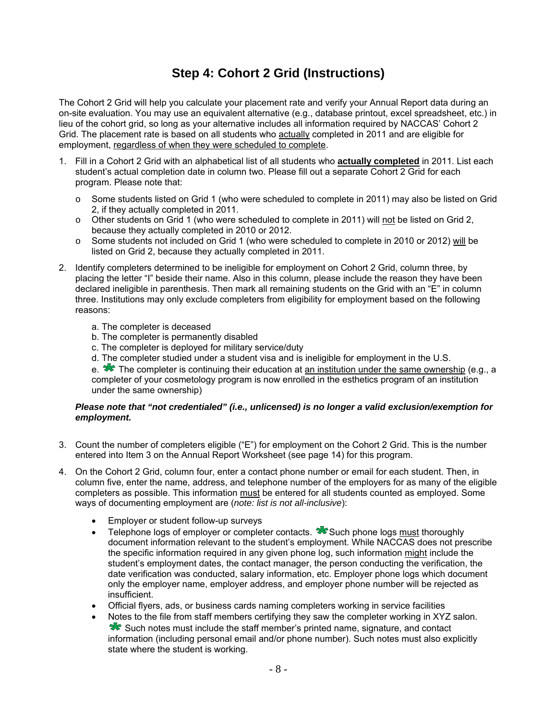## **Step 4: Cohort 2 Grid (Instructions)**

The Cohort 2 Grid will help you calculate your placement rate and verify your Annual Report data during an on-site evaluation. You may use an equivalent alternative (e.g., database printout, excel spreadsheet, etc.) in lieu of the cohort grid, so long as your alternative includes all information required by NACCAS' Cohort 2 Grid. The placement rate is based on all students who actually completed in 2011 and are eligible for employment, regardless of when they were scheduled to complete.

- 1. Fill in a Cohort 2 Grid with an alphabetical list of all students who **actually completed** in 2011. List each student's actual completion date in column two. Please fill out a separate Cohort 2 Grid for each program. Please note that:
	- Some students listed on Grid 1 (who were scheduled to complete in 2011) may also be listed on Grid 2, if they actually completed in 2011.
	- o Other students on Grid 1 (who were scheduled to complete in 2011) will not be listed on Grid 2, because they actually completed in 2010 or 2012.
	- o Some students not included on Grid 1 (who were scheduled to complete in 2010 or 2012) will be listed on Grid 2, because they actually completed in 2011.
- 2. Identify completers determined to be ineligible for employment on Cohort 2 Grid, column three, by placing the letter "I" beside their name. Also in this column, please include the reason they have been declared ineligible in parenthesis. Then mark all remaining students on the Grid with an "E" in column three. Institutions may only exclude completers from eligibility for employment based on the following reasons:
	- a. The completer is deceased
	- b. The completer is permanently disabled
	- c. The completer is deployed for military service/duty
	- d. The completer studied under a student visa and is ineligible for employment in the U.S.

e. **The completer is continuing their education at an institution under the same ownership (e.g., a**) completer of your cosmetology program is now enrolled in the esthetics program of an institution under the same ownership)

### *Please note that "not credentialed" (i.e., unlicensed) is no longer a valid exclusion/exemption for employment.*

- 3. Count the number of completers eligible ("E") for employment on the Cohort 2 Grid. This is the number entered into Item 3 on the Annual Report Worksheet (see page 14) for this program.
- 4. On the Cohort 2 Grid, column four, enter a contact phone number or email for each student. Then, in column five, enter the name, address, and telephone number of the employers for as many of the eligible completers as possible. This information must be entered for all students counted as employed. Some ways of documenting employment are (*note: list is not all-inclusive*):
	- Employer or student follow-up surveys
	- Telephone logs of employer or completer contacts.  $\mathcal{R}$  Such phone logs must thoroughly document information relevant to the student's employment. While NACCAS does not prescribe the specific information required in any given phone log, such information might include the student's employment dates, the contact manager, the person conducting the verification, the date verification was conducted, salary information, etc. Employer phone logs which document only the employer name, employer address, and employer phone number will be rejected as insufficient.
	- Official flyers, ads, or business cards naming completers working in service facilities
	- Notes to the file from staff members certifying they saw the completer working in XYZ salon. Such notes must include the staff member's printed name, signature, and contact information (including personal email and/or phone number). Such notes must also explicitly state where the student is working.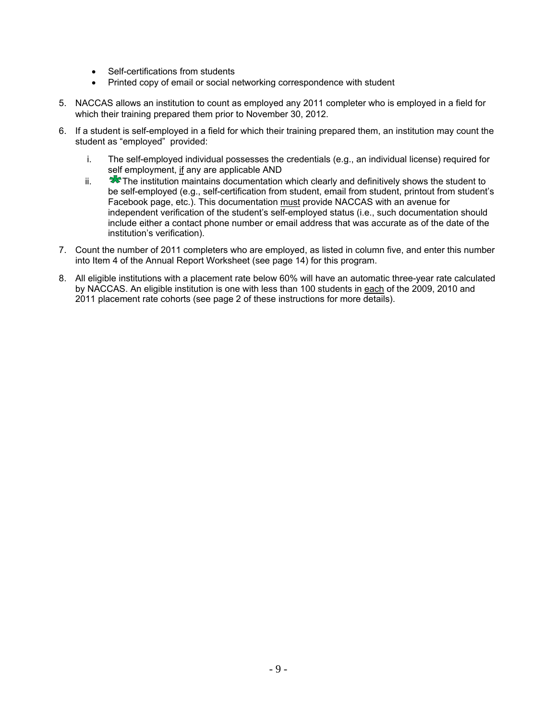- Self-certifications from students
- Printed copy of email or social networking correspondence with student
- 5. NACCAS allows an institution to count as employed any 2011 completer who is employed in a field for which their training prepared them prior to November 30, 2012.
- 6. If a student is self-employed in a field for which their training prepared them, an institution may count the student as "employed" provided:
	- i. The self-employed individual possesses the credentials (e.g., an individual license) required for self employment, if any are applicable AND
	- $ii.$   $\blacktriangleright$  The institution maintains documentation which clearly and definitively shows the student to be self-employed (e.g., self-certification from student, email from student, printout from student's Facebook page, etc.). This documentation must provide NACCAS with an avenue for independent verification of the student's self-employed status (i.e., such documentation should include either a contact phone number or email address that was accurate as of the date of the institution's verification).
- 7. Count the number of 2011 completers who are employed, as listed in column five, and enter this number into Item 4 of the Annual Report Worksheet (see page 14) for this program.
- 8. All eligible institutions with a placement rate below 60% will have an automatic three-year rate calculated by NACCAS. An eligible institution is one with less than 100 students in each of the 2009, 2010 and 2011 placement rate cohorts (see page 2 of these instructions for more details).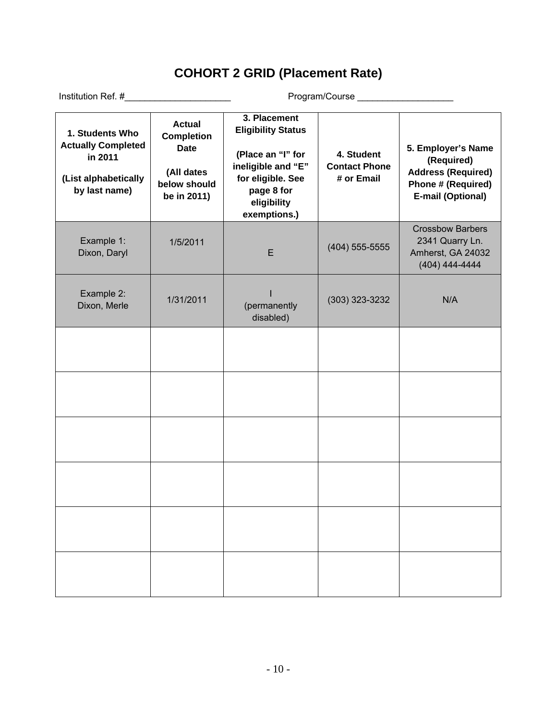# **COHORT 2 GRID (Placement Rate)**

| 1. Students Who<br><b>Actually Completed</b><br>in 2011<br>(List alphabetically<br>by last name) | <b>Actual</b><br><b>Completion</b><br><b>Date</b><br>(All dates<br>below should<br>be in 2011) | 3. Placement<br><b>Eligibility Status</b><br>(Place an "I" for<br>ineligible and "E"<br>for eligible. See<br>page 8 for<br>eligibility<br>exemptions.) | 4. Student<br><b>Contact Phone</b><br># or Email | 5. Employer's Name<br>(Required)<br><b>Address (Required)</b><br>Phone # (Required)<br><b>E-mail (Optional)</b> |
|--------------------------------------------------------------------------------------------------|------------------------------------------------------------------------------------------------|--------------------------------------------------------------------------------------------------------------------------------------------------------|--------------------------------------------------|-----------------------------------------------------------------------------------------------------------------|
| Example 1:<br>Dixon, Daryl                                                                       | 1/5/2011                                                                                       | E                                                                                                                                                      | $(404)$ 555-5555                                 | <b>Crossbow Barbers</b><br>2341 Quarry Ln.<br>Amherst, GA 24032<br>$(404)$ 444-4444                             |
| Example 2:<br>Dixon, Merle                                                                       | 1/31/2011                                                                                      | (permanently<br>disabled)                                                                                                                              | $(303)$ 323-3232                                 | N/A                                                                                                             |
|                                                                                                  |                                                                                                |                                                                                                                                                        |                                                  |                                                                                                                 |
|                                                                                                  |                                                                                                |                                                                                                                                                        |                                                  |                                                                                                                 |
|                                                                                                  |                                                                                                |                                                                                                                                                        |                                                  |                                                                                                                 |
|                                                                                                  |                                                                                                |                                                                                                                                                        |                                                  |                                                                                                                 |
|                                                                                                  |                                                                                                |                                                                                                                                                        |                                                  |                                                                                                                 |
|                                                                                                  |                                                                                                |                                                                                                                                                        |                                                  |                                                                                                                 |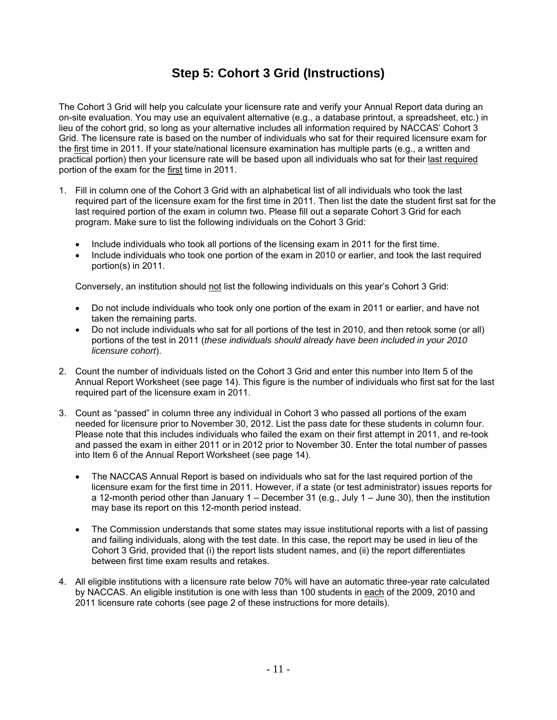## **Step 5: Cohort 3 Grid (Instructions)**

The Cohort 3 Grid will help you calculate your licensure rate and verify your Annual Report data during an on-site evaluation. You may use an equivalent alternative (e.g., a database printout, a spreadsheet, etc.) in lieu of the cohort grid, so long as your alternative includes all information required by NACCAS' Cohort 3 Grid. The licensure rate is based on the number of individuals who sat for their required licensure exam for the first time in 2011. If your state/national licensure examination has multiple parts (e.g., a written and practical portion) then your licensure rate will be based upon all individuals who sat for their last required portion of the exam for the first time in 2011.

- 1. Fill in column one of the Cohort 3 Grid with an alphabetical list of all individuals who took the last required part of the licensure exam for the first time in 2011. Then list the date the student first sat for the last required portion of the exam in column two. Please fill out a separate Cohort 3 Grid for each program. Make sure to list the following individuals on the Cohort 3 Grid:
	- Include individuals who took all portions of the licensing exam in 2011 for the first time.
	- Include individuals who took one portion of the exam in 2010 or earlier, and took the last required portion(s) in 2011.

Conversely, an institution should not list the following individuals on this year's Cohort 3 Grid:

- Do not include individuals who took only one portion of the exam in 2011 or earlier, and have not taken the remaining parts.
- Do not include individuals who sat for all portions of the test in 2010, and then retook some (or all) portions of the test in 2011 (*these individuals should already have been included in your 2010 licensure cohort*).
- 2. Count the number of individuals listed on the Cohort 3 Grid and enter this number into Item 5 of the Annual Report Worksheet (see page 14). This figure is the number of individuals who first sat for the last required part of the licensure exam in 2011.
- 3. Count as "passed" in column three any individual in Cohort 3 who passed all portions of the exam needed for licensure prior to November 30, 2012. List the pass date for these students in column four. Please note that this includes individuals who failed the exam on their first attempt in 2011, and re-took and passed the exam in either 2011 or in 2012 prior to November 30. Enter the total number of passes into Item 6 of the Annual Report Worksheet (see page 14).
	- The NACCAS Annual Report is based on individuals who sat for the last required portion of the licensure exam for the first time in 2011. However, if a state (or test administrator) issues reports for a 12-month period other than January 1 – December 31 (e.g., July 1 – June 30), then the institution may base its report on this 12-month period instead.
	- The Commission understands that some states may issue institutional reports with a list of passing and failing individuals, along with the test date. In this case, the report may be used in lieu of the Cohort 3 Grid, provided that (i) the report lists student names, and (ii) the report differentiates between first time exam results and retakes.
- 4. All eligible institutions with a licensure rate below 70% will have an automatic three-year rate calculated by NACCAS. An eligible institution is one with less than 100 students in each of the 2009, 2010 and 2011 licensure rate cohorts (see page 2 of these instructions for more details).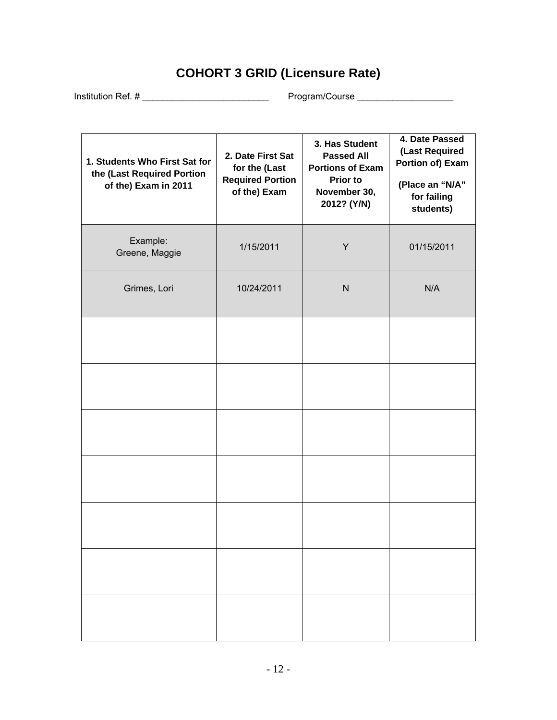# **COHORT 3 GRID (Licensure Rate)**

Institution Ref. # \_\_\_\_\_\_\_\_\_\_\_\_\_\_\_\_\_\_\_\_\_\_\_\_\_ Program/Course \_\_\_\_\_\_\_\_\_\_\_\_\_\_\_\_\_\_\_

| 1. Students Who First Sat for<br>the (Last Required Portion<br>of the) Exam in 2011 | 2. Date First Sat<br>for the (Last<br><b>Required Portion</b><br>of the) Exam | 3. Has Student<br><b>Passed All</b><br><b>Portions of Exam</b><br><b>Prior to</b><br>November 30,<br>2012? (Y/N) | 4. Date Passed<br>(Last Required<br>Portion of) Exam<br>(Place an "N/A"<br>for failing<br>students) |
|-------------------------------------------------------------------------------------|-------------------------------------------------------------------------------|------------------------------------------------------------------------------------------------------------------|-----------------------------------------------------------------------------------------------------|
| Example:<br>Greene, Maggie                                                          | 1/15/2011                                                                     | Y                                                                                                                | 01/15/2011                                                                                          |
| Grimes, Lori                                                                        | 10/24/2011                                                                    | ${\sf N}$                                                                                                        | N/A                                                                                                 |
|                                                                                     |                                                                               |                                                                                                                  |                                                                                                     |
|                                                                                     |                                                                               |                                                                                                                  |                                                                                                     |
|                                                                                     |                                                                               |                                                                                                                  |                                                                                                     |
|                                                                                     |                                                                               |                                                                                                                  |                                                                                                     |
|                                                                                     |                                                                               |                                                                                                                  |                                                                                                     |
|                                                                                     |                                                                               |                                                                                                                  |                                                                                                     |
|                                                                                     |                                                                               |                                                                                                                  |                                                                                                     |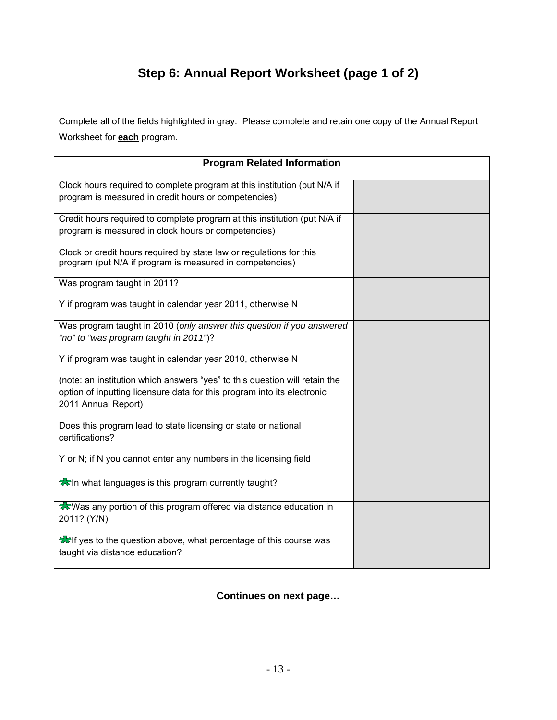# **Step 6: Annual Report Worksheet (page 1 of 2)**

Complete all of the fields highlighted in gray. Please complete and retain one copy of the Annual Report Worksheet for **each** program.

| <b>Program Related Information</b>                                                                                                                                           |  |
|------------------------------------------------------------------------------------------------------------------------------------------------------------------------------|--|
| Clock hours required to complete program at this institution (put N/A if<br>program is measured in credit hours or competencies)                                             |  |
| Credit hours required to complete program at this institution (put N/A if<br>program is measured in clock hours or competencies)                                             |  |
| Clock or credit hours required by state law or regulations for this<br>program (put N/A if program is measured in competencies)                                              |  |
| Was program taught in 2011?<br>Y if program was taught in calendar year 2011, otherwise N                                                                                    |  |
| Was program taught in 2010 (only answer this question if you answered<br>"no" to "was program taught in 2011")?                                                              |  |
| Y if program was taught in calendar year 2010, otherwise N                                                                                                                   |  |
| (note: an institution which answers "yes" to this question will retain the<br>option of inputting licensure data for this program into its electronic<br>2011 Annual Report) |  |
| Does this program lead to state licensing or state or national<br>certifications?                                                                                            |  |
| Y or N; if N you cannot enter any numbers in the licensing field                                                                                                             |  |
| <b>When</b> what languages is this program currently taught?                                                                                                                 |  |
| <b>Was any portion of this program offered via distance education in</b><br>2011? (Y/N)                                                                                      |  |
| <b>Welf yes to the question above, what percentage of this course was</b><br>taught via distance education?                                                                  |  |

**Continues on next page…**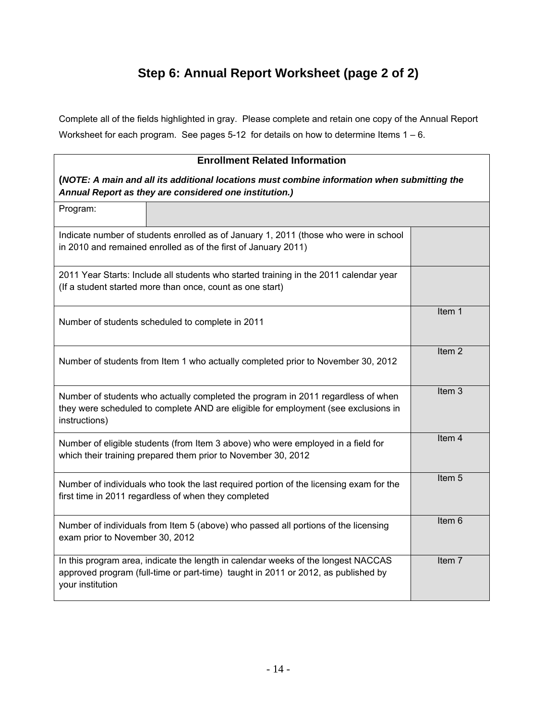## **Step 6: Annual Report Worksheet (page 2 of 2)**

Complete all of the fields highlighted in gray. Please complete and retain one copy of the Annual Report Worksheet for each program. See pages 5-12 for details on how to determine Items  $1 - 6$ .

## **Enrollment Related Information (***NOTE: A main and all its additional locations must combine information when submitting the Annual Report as they are considered one institution.)*  Program: Indicate number of students enrolled as of January 1, 2011 (those who were in school in 2010 and remained enrolled as of the first of January 2011) 2011 Year Starts: Include all students who started training in the 2011 calendar year (If a student started more than once, count as one start) Number of students scheduled to complete in 2011 Item 1 Number of students from Item 1 who actually completed prior to November 30, 2012 Item 2 Number of students who actually completed the program in 2011 regardless of when they were scheduled to complete AND are eligible for employment (see exclusions in instructions) Item 3 Number of eligible students (from Item 3 above) who were employed in a field for which their training prepared them prior to November 30, 2012 Item 4 Number of individuals who took the last required portion of the licensing exam for the first time in 2011 regardless of when they completed Item 5 Number of individuals from Item 5 (above) who passed all portions of the licensing exam prior to November 30, 2012 Item 6 In this program area, indicate the length in calendar weeks of the longest NACCAS approved program (full-time or part-time) taught in 2011 or 2012, as published by your institution Item 7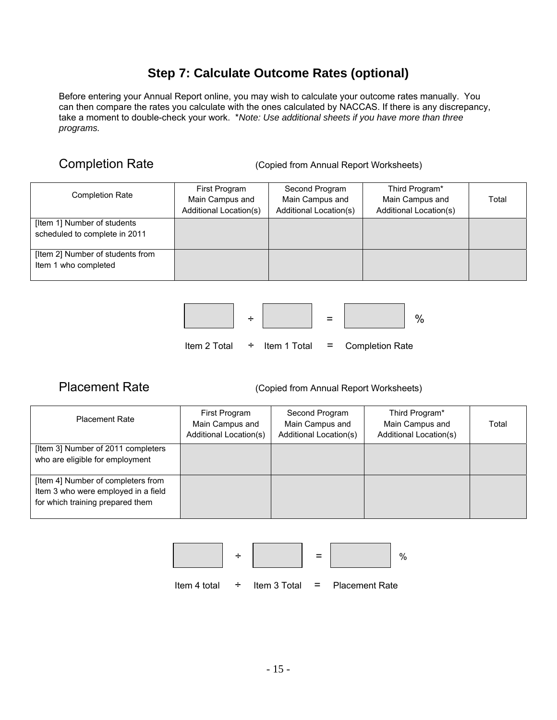## **Step 7: Calculate Outcome Rates (optional)**

Before entering your Annual Report online, you may wish to calculate your outcome rates manually. You can then compare the rates you calculate with the ones calculated by NACCAS. If there is any discrepancy, take a moment to double-check your work. \**Note: Use additional sheets if you have more than three programs.*

Completion Rate **(Copied from Annual Report Worksheets)** 

| <b>Completion Rate</b>                                       | First Program<br>Main Campus and<br>Additional Location(s) | Second Program<br>Main Campus and<br>Additional Location(s) | Third Program*<br>Main Campus and<br><b>Additional Location(s)</b> | Total |
|--------------------------------------------------------------|------------------------------------------------------------|-------------------------------------------------------------|--------------------------------------------------------------------|-------|
| [Item 1] Number of students<br>scheduled to complete in 2011 |                                                            |                                                             |                                                                    |       |
| [Item 2] Number of students from<br>Item 1 who completed     |                                                            |                                                             |                                                                    |       |



Placement Rate **(Copied from Annual Report Worksheets)** 

| <b>Placement Rate</b>                                                                                         | First Program<br>Main Campus and<br>Additional Location(s) | Second Program<br>Main Campus and<br><b>Additional Location(s)</b> | Third Program*<br>Main Campus and<br>Additional Location(s) | Total |
|---------------------------------------------------------------------------------------------------------------|------------------------------------------------------------|--------------------------------------------------------------------|-------------------------------------------------------------|-------|
| [Item 3] Number of 2011 completers<br>who are eligible for employment                                         |                                                            |                                                                    |                                                             |       |
| [Item 4] Number of completers from<br>Item 3 who were employed in a field<br>for which training prepared them |                                                            |                                                                    |                                                             |       |

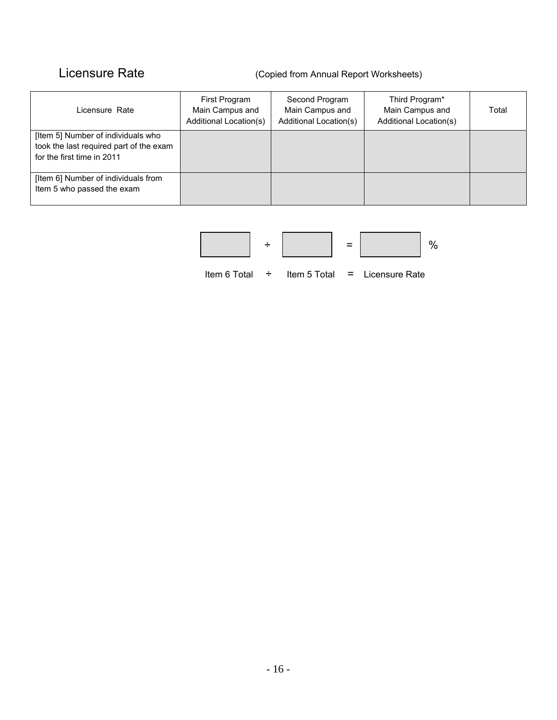## Licensure Rate (Copied from Annual Report Worksheets)

| Licensure Rate                                                                                              | First Program<br>Main Campus and<br><b>Additional Location(s)</b> | Second Program<br>Main Campus and<br>Additional Location(s) | Third Program*<br>Main Campus and<br>Additional Location(s) | Total |
|-------------------------------------------------------------------------------------------------------------|-------------------------------------------------------------------|-------------------------------------------------------------|-------------------------------------------------------------|-------|
| [Item 5] Number of individuals who<br>took the last required part of the exam<br>for the first time in 2011 |                                                                   |                                                             |                                                             |       |
| [Item 6] Number of individuals from<br>Item 5 who passed the exam                                           |                                                                   |                                                             |                                                             |       |

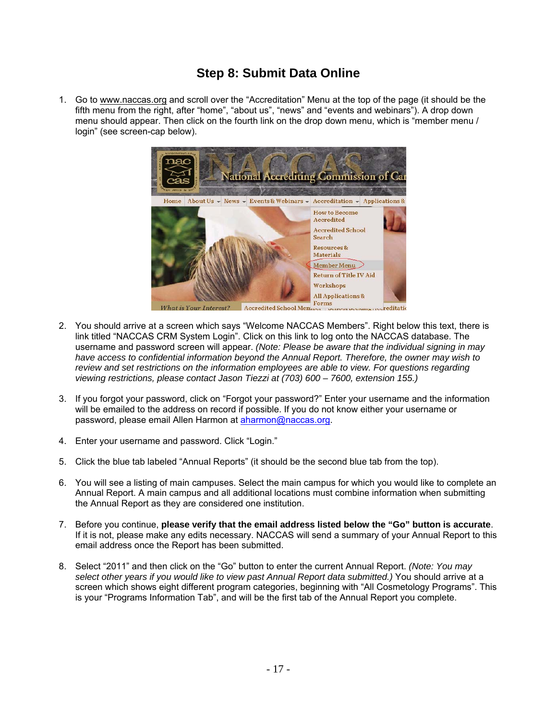## **Step 8: Submit Data Online**

1. Go to www.naccas.org and scroll over the "Accreditation" Menu at the top of the page (it should be the fifth menu from the right, after "home", "about us", "news" and "events and webinars"). A drop down menu should appear. Then click on the fourth link on the drop down menu, which is "member menu / login" (see screen-cap below).



- 2. You should arrive at a screen which says "Welcome NACCAS Members". Right below this text, there is link titled "NACCAS CRM System Login". Click on this link to log onto the NACCAS database. The username and password screen will appear. *(Note: Please be aware that the individual signing in may have access to confidential information beyond the Annual Report. Therefore, the owner may wish to review and set restrictions on the information employees are able to view. For questions regarding viewing restrictions, please contact Jason Tiezzi at (703) 600 – 7600, extension 155.)*
- 3. If you forgot your password, click on "Forgot your password?" Enter your username and the information will be emailed to the address on record if possible. If you do not know either your username or password, please email Allen Harmon at aharmon@naccas.org.
- 4. Enter your username and password. Click "Login."
- 5. Click the blue tab labeled "Annual Reports" (it should be the second blue tab from the top).
- 6. You will see a listing of main campuses. Select the main campus for which you would like to complete an Annual Report. A main campus and all additional locations must combine information when submitting the Annual Report as they are considered one institution.
- 7. Before you continue, **please verify that the email address listed below the "Go" button is accurate**. If it is not, please make any edits necessary. NACCAS will send a summary of your Annual Report to this email address once the Report has been submitted.
- 8. Select "2011" and then click on the "Go" button to enter the current Annual Report. *(Note: You may*  select other years if you would like to view past Annual Report data submitted.) You should arrive at a screen which shows eight different program categories, beginning with "All Cosmetology Programs". This is your "Programs Information Tab", and will be the first tab of the Annual Report you complete.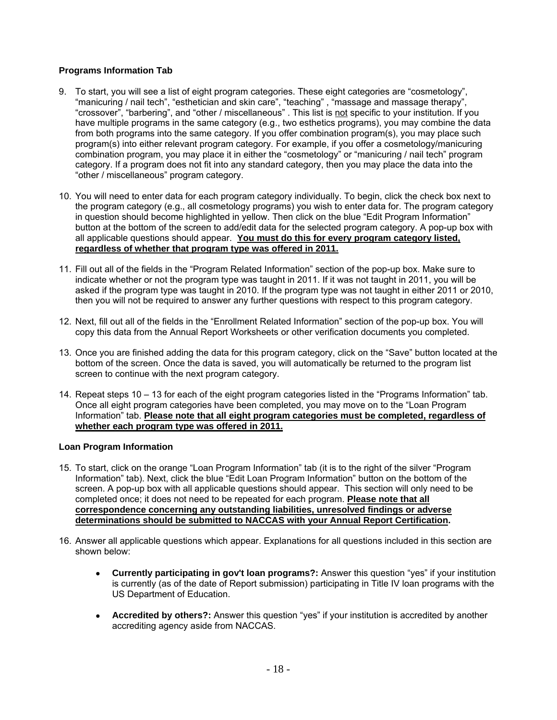## **Programs Information Tab**

- 9. To start, you will see a list of eight program categories. These eight categories are "cosmetology", "manicuring / nail tech", "esthetician and skin care", "teaching" , "massage and massage therapy", "crossover", "barbering", and "other / miscellaneous" . This list is not specific to your institution. If you have multiple programs in the same category (e.g., two esthetics programs), you may combine the data from both programs into the same category. If you offer combination program(s), you may place such program(s) into either relevant program category. For example, if you offer a cosmetology/manicuring combination program, you may place it in either the "cosmetology" or "manicuring / nail tech" program category. If a program does not fit into any standard category, then you may place the data into the "other / miscellaneous" program category.
- 10. You will need to enter data for each program category individually. To begin, click the check box next to the program category (e.g., all cosmetology programs) you wish to enter data for. The program category in question should become highlighted in yellow. Then click on the blue "Edit Program Information" button at the bottom of the screen to add/edit data for the selected program category. A pop-up box with all applicable questions should appear. **You must do this for every program category listed, regardless of whether that program type was offered in 2011.**
- 11. Fill out all of the fields in the "Program Related Information" section of the pop-up box. Make sure to indicate whether or not the program type was taught in 2011. If it was not taught in 2011, you will be asked if the program type was taught in 2010. If the program type was not taught in either 2011 or 2010, then you will not be required to answer any further questions with respect to this program category.
- 12. Next, fill out all of the fields in the "Enrollment Related Information" section of the pop-up box. You will copy this data from the Annual Report Worksheets or other verification documents you completed.
- 13. Once you are finished adding the data for this program category, click on the "Save" button located at the bottom of the screen. Once the data is saved, you will automatically be returned to the program list screen to continue with the next program category.
- 14. Repeat steps 10 13 for each of the eight program categories listed in the "Programs Information" tab. Once all eight program categories have been completed, you may move on to the "Loan Program Information" tab. **Please note that all eight program categories must be completed, regardless of whether each program type was offered in 2011.**

### **Loan Program Information**

- 15. To start, click on the orange "Loan Program Information" tab (it is to the right of the silver "Program Information" tab). Next, click the blue "Edit Loan Program Information" button on the bottom of the screen. A pop-up box with all applicable questions should appear. This section will only need to be completed once; it does not need to be repeated for each program. **Please note that all correspondence concerning any outstanding liabilities, unresolved findings or adverse determinations should be submitted to NACCAS with your Annual Report Certification.**
- 16. Answer all applicable questions which appear. Explanations for all questions included in this section are shown below:
	- **Currently participating in gov't loan programs?:** Answer this question "yes" if your institution is currently (as of the date of Report submission) participating in Title IV loan programs with the US Department of Education.
	- **Accredited by others?:** Answer this question "yes" if your institution is accredited by another accrediting agency aside from NACCAS.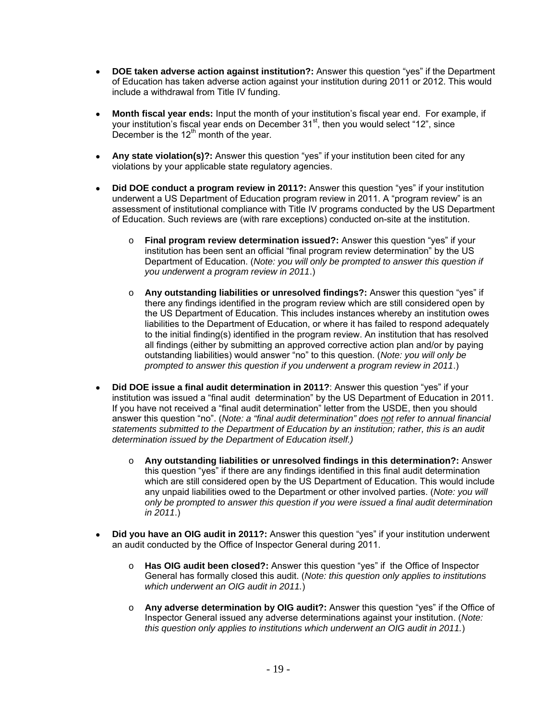- **DOE taken adverse action against institution?:** Answer this question "yes" if the Department of Education has taken adverse action against your institution during 2011 or 2012. This would include a withdrawal from Title IV funding.
- **Month fiscal year ends:** Input the month of your institution's fiscal year end. For example, if your institution's fiscal year ends on December 31<sup>st</sup>, then you would select "12", since December is the  $12<sup>th</sup>$  month of the year.
- **Any state violation(s)?:** Answer this question "yes" if your institution been cited for any violations by your applicable state regulatory agencies.
- **Did DOE conduct a program review in 2011?:** Answer this question "yes" if your institution underwent a US Department of Education program review in 2011. A "program review" is an assessment of institutional compliance with Title IV programs conducted by the US Department of Education. Such reviews are (with rare exceptions) conducted on-site at the institution.
	- o **Final program review determination issued?:** Answer this question "yes" if your institution has been sent an official "final program review determination" by the US Department of Education. (*Note: you will only be prompted to answer this question if you underwent a program review in 2011*.)
	- o **Any outstanding liabilities or unresolved findings?:** Answer this question "yes" if there any findings identified in the program review which are still considered open by the US Department of Education. This includes instances whereby an institution owes liabilities to the Department of Education, or where it has failed to respond adequately to the initial finding(s) identified in the program review. An institution that has resolved all findings (either by submitting an approved corrective action plan and/or by paying outstanding liabilities) would answer "no" to this question. (*Note: you will only be prompted to answer this question if you underwent a program review in 2011*.)
- **Did DOE issue a final audit determination in 2011?**: Answer this question "yes" if your institution was issued a "final audit determination" by the US Department of Education in 2011. If you have not received a "final audit determination" letter from the USDE, then you should answer this question "no". (*Note: a "final audit determination" does not refer to annual financial statements submitted to the Department of Education by an institution; rather, this is an audit determination issued by the Department of Education itself.)*
	- o **Any outstanding liabilities or unresolved findings in this determination?:** Answer this question "yes" if there are any findings identified in this final audit determination which are still considered open by the US Department of Education. This would include any unpaid liabilities owed to the Department or other involved parties. (*Note: you will only be prompted to answer this question if you were issued a final audit determination in 2011*.)
- **Did you have an OIG audit in 2011?:** Answer this question "yes" if your institution underwent an audit conducted by the Office of Inspector General during 2011.
	- o **Has OIG audit been closed?:** Answer this question "yes" if the Office of Inspector General has formally closed this audit. (*Note: this question only applies to institutions which underwent an OIG audit in 2011.*)
	- o **Any adverse determination by OIG audit?:** Answer this question "yes" if the Office of Inspector General issued any adverse determinations against your institution. (*Note: this question only applies to institutions which underwent an OIG audit in 2011.*)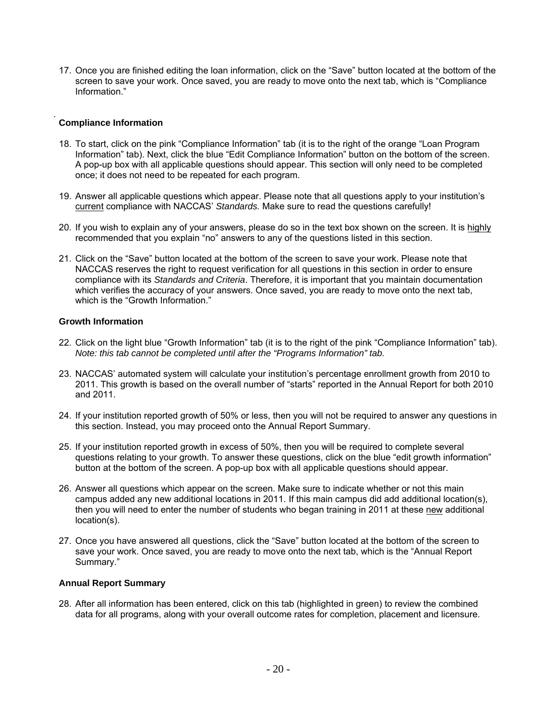17. Once you are finished editing the loan information, click on the "Save" button located at the bottom of the screen to save your work. Once saved, you are ready to move onto the next tab, which is "Compliance Information."

## **Compliance Information**

- 18. To start, click on the pink "Compliance Information" tab (it is to the right of the orange "Loan Program Information" tab). Next, click the blue "Edit Compliance Information" button on the bottom of the screen. A pop-up box with all applicable questions should appear. This section will only need to be completed once; it does not need to be repeated for each program.
- 19. Answer all applicable questions which appear. Please note that all questions apply to your institution's current compliance with NACCAS' *Standards.* Make sure to read the questions carefully!
- 20. If you wish to explain any of your answers, please do so in the text box shown on the screen. It is highly recommended that you explain "no" answers to any of the questions listed in this section.
- 21. Click on the "Save" button located at the bottom of the screen to save your work. Please note that NACCAS reserves the right to request verification for all questions in this section in order to ensure compliance with its *Standards and Criteria*. Therefore, it is important that you maintain documentation which verifies the accuracy of your answers. Once saved, you are ready to move onto the next tab, which is the "Growth Information."

### **Growth Information**

- 22. Click on the light blue "Growth Information" tab (it is to the right of the pink "Compliance Information" tab). *Note: this tab cannot be completed until after the "Programs Information" tab.*
- 23. NACCAS' automated system will calculate your institution's percentage enrollment growth from 2010 to 2011. This growth is based on the overall number of "starts" reported in the Annual Report for both 2010 and 2011.
- 24. If your institution reported growth of 50% or less, then you will not be required to answer any questions in this section. Instead, you may proceed onto the Annual Report Summary.
- 25. If your institution reported growth in excess of 50%, then you will be required to complete several questions relating to your growth. To answer these questions, click on the blue "edit growth information" button at the bottom of the screen. A pop-up box with all applicable questions should appear.
- 26. Answer all questions which appear on the screen. Make sure to indicate whether or not this main campus added any new additional locations in 2011. If this main campus did add additional location(s), then you will need to enter the number of students who began training in 2011 at these new additional location(s).
- 27. Once you have answered all questions, click the "Save" button located at the bottom of the screen to save your work. Once saved, you are ready to move onto the next tab, which is the "Annual Report Summary."

### **Annual Report Summary**

28. After all information has been entered, click on this tab (highlighted in green) to review the combined data for all programs, along with your overall outcome rates for completion, placement and licensure.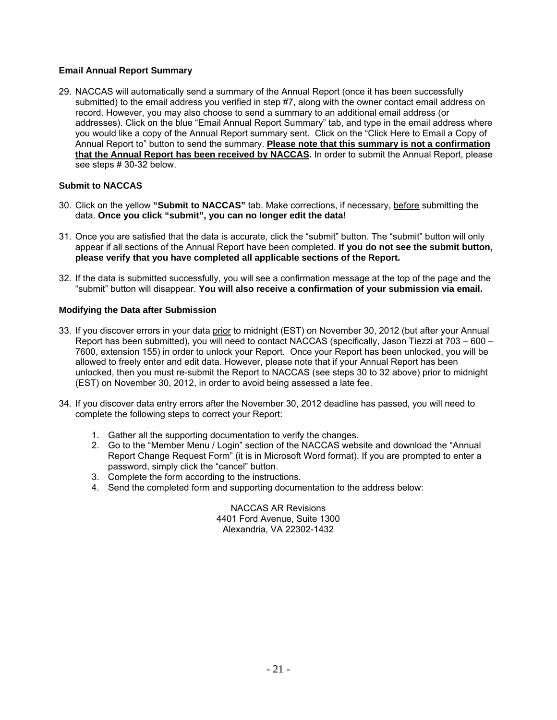## **Email Annual Report Summary**

29. NACCAS will automatically send a summary of the Annual Report (once it has been successfully submitted) to the email address you verified in step #7, along with the owner contact email address on record. However, you may also choose to send a summary to an additional email address (or addresses). Click on the blue "Email Annual Report Summary" tab, and type in the email address where you would like a copy of the Annual Report summary sent. Click on the "Click Here to Email a Copy of Annual Report to" button to send the summary. **Please note that this summary is not a confirmation that the Annual Report has been received by NACCAS.** In order to submit the Annual Report, please see steps # 30-32 below.

## **Submit to NACCAS**

- 30. Click on the yellow **"Submit to NACCAS"** tab. Make corrections, if necessary, before submitting the data. **Once you click "submit", you can no longer edit the data!**
- 31. Once you are satisfied that the data is accurate, click the "submit" button. The "submit" button will only appear if all sections of the Annual Report have been completed. **If you do not see the submit button, please verify that you have completed all applicable sections of the Report.**
- 32. If the data is submitted successfully, you will see a confirmation message at the top of the page and the "submit" button will disappear. **You will also receive a confirmation of your submission via email.**

### **Modifying the Data after Submission**

- 33. If you discover errors in your data prior to midnight (EST) on November 30, 2012 (but after your Annual Report has been submitted), you will need to contact NACCAS (specifically, Jason Tiezzi at 703 – 600 – 7600, extension 155) in order to unlock your Report. Once your Report has been unlocked, you will be allowed to freely enter and edit data. However, please note that if your Annual Report has been unlocked, then you must re-submit the Report to NACCAS (see steps 30 to 32 above) prior to midnight (EST) on November 30, 2012, in order to avoid being assessed a late fee.
- 34. If you discover data entry errors after the November 30, 2012 deadline has passed, you will need to complete the following steps to correct your Report:
	- 1. Gather all the supporting documentation to verify the changes.
	- 2. Go to the "Member Menu / Login" section of the NACCAS website and download the "Annual Report Change Request Form" (it is in Microsoft Word format). If you are prompted to enter a password, simply click the "cancel" button.
	- 3. Complete the form according to the instructions.
	- 4. Send the completed form and supporting documentation to the address below:

NACCAS AR Revisions 4401 Ford Avenue, Suite 1300 Alexandria, VA 22302-1432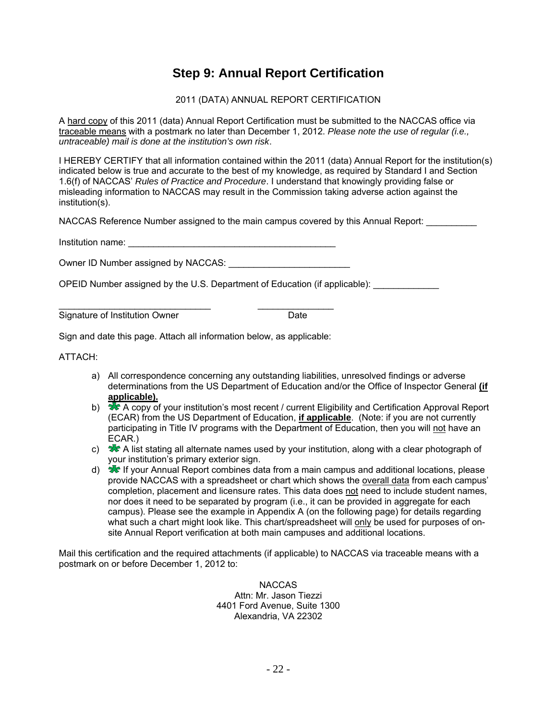## **Step 9: Annual Report Certification**

## 2011 (DATA) ANNUAL REPORT CERTIFICATION

A hard copy of this 2011 (data) Annual Report Certification must be submitted to the NACCAS office via traceable means with a postmark no later than December 1, 2012. *Please note the use of regular (i.e., untraceable) mail is done at the institution's own risk*.

I HEREBY CERTIFY that all information contained within the 2011 (data) Annual Report for the institution(s) indicated below is true and accurate to the best of my knowledge, as required by Standard I and Section 1.6(f) of NACCAS' *Rules of Practice and Procedure*. I understand that knowingly providing false or misleading information to NACCAS may result in the Commission taking adverse action against the institution(s).

NACCAS Reference Number assigned to the main campus covered by this Annual Report:

Institution name: \_\_\_\_\_\_\_\_\_\_\_\_\_\_\_\_\_\_\_\_\_\_\_\_\_\_\_\_\_\_\_\_\_\_\_\_\_\_\_\_\_

Owner ID Number assigned by NACCAS:

OPEID Number assigned by the U.S. Department of Education (if applicable):

\_\_\_\_\_\_\_\_\_\_\_\_\_\_\_\_\_\_\_\_\_\_\_\_\_\_\_\_\_\_ \_\_\_\_\_\_\_\_\_\_\_\_\_\_\_ Signature of Institution Owner Date

Sign and date this page. Attach all information below, as applicable:

ATTACH:

- a) All correspondence concerning any outstanding liabilities, unresolved findings or adverse determinations from the US Department of Education and/or the Office of Inspector General **(if applicable).**
- b)  $\sqrt{2}$  A copy of your institution's most recent / current Eligibility and Certification Approval Report (ECAR) from the US Department of Education, **if applicable**. (Note: if you are not currently participating in Title IV programs with the Department of Education, then you will not have an ECAR.)
- c)  $\frac{1}{\sqrt{2}}$  A list stating all alternate names used by your institution, along with a clear photograph of your institution's primary exterior sign.
- d) If your Annual Report combines data from a main campus and additional locations, please provide NACCAS with a spreadsheet or chart which shows the overall data from each campus' completion, placement and licensure rates. This data does not need to include student names, nor does it need to be separated by program (i.e., it can be provided in aggregate for each campus). Please see the example in Appendix A (on the following page) for details regarding what such a chart might look like. This chart/spreadsheet will only be used for purposes of onsite Annual Report verification at both main campuses and additional locations.

Mail this certification and the required attachments (if applicable) to NACCAS via traceable means with a postmark on or before December 1, 2012 to:

> NACCAS Attn: Mr. Jason Tiezzi 4401 Ford Avenue, Suite 1300 Alexandria, VA 22302